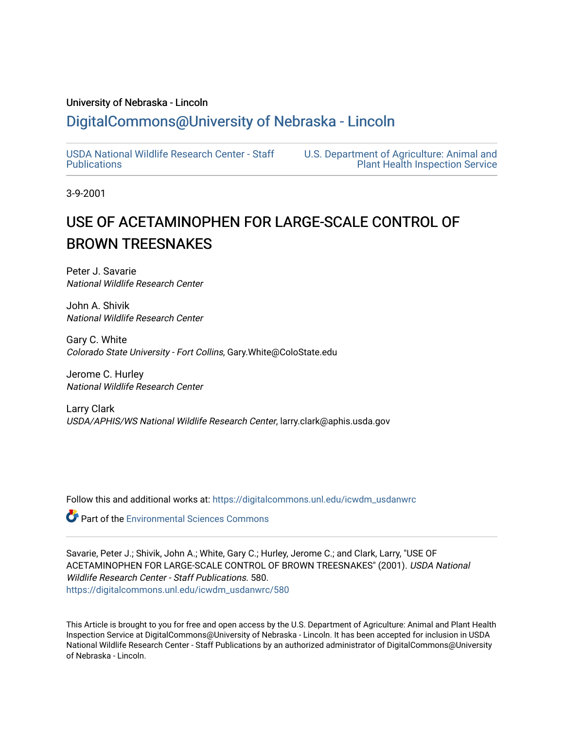### University of Nebraska - Lincoln

## [DigitalCommons@University of Nebraska - Lincoln](https://digitalcommons.unl.edu/)

[USDA National Wildlife Research Center - Staff](https://digitalcommons.unl.edu/icwdm_usdanwrc)  [Publications](https://digitalcommons.unl.edu/icwdm_usdanwrc) 

[U.S. Department of Agriculture: Animal and](https://digitalcommons.unl.edu/usdaaphis)  [Plant Health Inspection Service](https://digitalcommons.unl.edu/usdaaphis) 

3-9-2001

# USE OF ACETAMINOPHEN FOR LARGE-SCALE CONTROL OF BROWN TREESNAKES

Peter J. Savarie National Wildlife Research Center

John A. Shivik National Wildlife Research Center

Gary C. White Colorado State University - Fort Collins, Gary.White@ColoState.edu

Jerome C. Hurley National Wildlife Research Center

Larry Clark USDA/APHIS/WS National Wildlife Research Center, larry.clark@aphis.usda.gov

Follow this and additional works at: [https://digitalcommons.unl.edu/icwdm\\_usdanwrc](https://digitalcommons.unl.edu/icwdm_usdanwrc?utm_source=digitalcommons.unl.edu%2Ficwdm_usdanwrc%2F580&utm_medium=PDF&utm_campaign=PDFCoverPages)

**Part of the [Environmental Sciences Commons](http://network.bepress.com/hgg/discipline/167?utm_source=digitalcommons.unl.edu%2Ficwdm_usdanwrc%2F580&utm_medium=PDF&utm_campaign=PDFCoverPages)** 

Savarie, Peter J.; Shivik, John A.; White, Gary C.; Hurley, Jerome C.; and Clark, Larry, "USE OF ACETAMINOPHEN FOR LARGE-SCALE CONTROL OF BROWN TREESNAKES" (2001). USDA National Wildlife Research Center - Staff Publications. 580. [https://digitalcommons.unl.edu/icwdm\\_usdanwrc/580](https://digitalcommons.unl.edu/icwdm_usdanwrc/580?utm_source=digitalcommons.unl.edu%2Ficwdm_usdanwrc%2F580&utm_medium=PDF&utm_campaign=PDFCoverPages)

This Article is brought to you for free and open access by the U.S. Department of Agriculture: Animal and Plant Health Inspection Service at DigitalCommons@University of Nebraska - Lincoln. It has been accepted for inclusion in USDA National Wildlife Research Center - Staff Publications by an authorized administrator of DigitalCommons@University of Nebraska - Lincoln.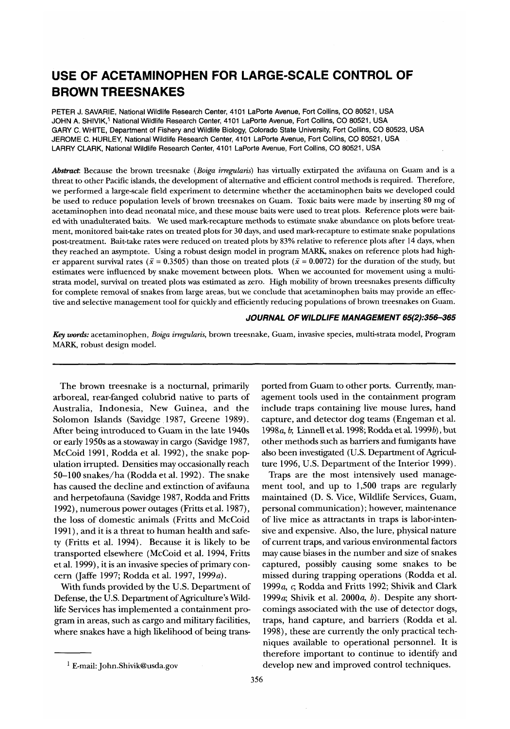## **USE OF ACETAMINOPHEN FOR LARGE-SCALE CONTROL OF BROWN TREESNAKES**

PETER J. SAVARIE, National Wildlife Research Center, 4101 LaPorte Avenue, Fort Collins, CO 80521, USA JOHN A. SHIVIK,' National Wildlife Research Center, 4101 LaPorte Avenue, Fort Collins, CO 80521, USA GARY C. WHITE, Department of Fishery and Wildlife Biology, Colorado State University, Fort Collins, CO 80523, USA JEROME C. HURLEY, National Wildlife Research Center, 4101 LaPorte Avenue, Fort Collins, CO 80521, USA LARRY CLARK, National Wildlife Research Center, 4101 LaPorte Avenue, Fort Collins, CO 80521, USA

*Abstract:* Because the brown treesnake *(Boiga irregularis)* has virtually extirpated the avifauna on Guam and is a threat to other Pacific islands, the development of alternative and efficient control methods is required. Therefore, we performed a large-scale field experiment to determine whether the acetaminophen baits we developed could be used to reduce population levels of brown treesnakes on Guam. Toxic baits were made by inserting **80** mg of acetaminophen into dead neonatal mice, and these mouse baits were used to treat plots. Reference plots were baited with unadulterated baits. We used mark-recapture methods to estimate snake abundance on plots before treatment, monitored bait-take rates on treated plots for **30** days, and used mark-recapture to estimate snake populations post-treatment. Bait-take rates were reduced on treated plots by **83%** relative to reference plots after 14 days, when they reached an asymptote. Using a robust design model in program MARK, snakes on reference plots had higher apparent survival rates ( $\bar{x} = 0.3505$ ) than those on treated plots ( $\bar{x} = 0.0072$ ) for the duration of the study, but estimates were influenced by snake movement between plots. When we accounted for movement using a multistrata model, survival on treated plots was estimated **as** zero. High mobility of brown treesnakes presents difficulty for complete removal of snakes from large areas, but we conclude that acetaminophen baits may provide an effective and selective management tool for quickly and efficiently reducing populations of brown treesnakes on Guam.

#### JOURNAL OF WILDLIFE MANAGEMENT 65(2):356-365

*Key words:* acetaminophen, *Boiga irregularis,* brown treesnake, Guam, invasive species, multi-strata model, Program MARK, robust design model.

arboreal, rear-fanged colubrid native to parts of agement tools used in the containment program Australia, Indonesia, New Guinea, and the include traps containing live mouse lures, hand Solomon Islands (Savidge 1987, Greene 1989). capture, and detector dog teams (Engeman et al. After being introduced to Guam in the late 1940s 1998a, *b;* Linnell et al. 1998; Rodda et al. 19993), but or early 1950s as a stowaway in cargo (Savidge 1987, other methods such as barriers and fumigants have McCoid 1991, Rodda et al. 1992), the snake pop- also been investigated (U.S. Department of Agricululation irrupted. Densities may occasionally reach ture 1996, U.S. Department of the Interior 1999). 50-100 snakes/ha (Rodda et al. 1992). The snake Traps are the most intensively used managehas caused the decline and extinction of avifauna ment tool, and up to 1,500 traps are regularly and herpetofauna (Savidge 1987, Rodda and Fritts maintained (D. S. Vice, Wildlife Services, Guam, 1992), numerous power outages (Fritts et al. 1987), personal communication) ; however, maintenance the loss of domestic animals (Fritts and McCoid of live mice as attractants in traps is labor-inten-1991), and it is a threat to human health and safe- sive and expensive. Also, the lure, physical nature **ty** (Fritts et al. 1994). Because it is likely to be of current traps, and various environmental factors transported elsewhere (McCoid et al. 1994, Fritts may cause biases in the number and size of snakes et al. 1999), it is an invasive species of primary con- captured, possibly causing some snakes to be cern (Jaffe 1997; Rodda et al. 1997, 1999a). missed during trapping operations (Rodda et al.

Defense, the U.S. Department of Agriculture's Wild-<br>1999a; Shivik et al. 2000a, b). Despite any shortlife Services has implemented a containment pro- comings associated with the use of detector dogs, gram in areas, such as cargo and military facilities, traps, hand capture, and barriers (Rodda et al. where snakes have a high likelihood of being trans- 1998), these are currently the only practical tech-

The brown treesnake is a nocturnal, primarily ported from Guam to other ports. Currently, man-

With funds provided by the U.S. Department of 1999a, *e,* Rodda and Fritts 1992; Shivik and Clark niques available to operational personnel. It is therefore important to continue to identify and <sup>1</sup> E-mail: John.Shivik@usda.gov develop new and improved control techniques.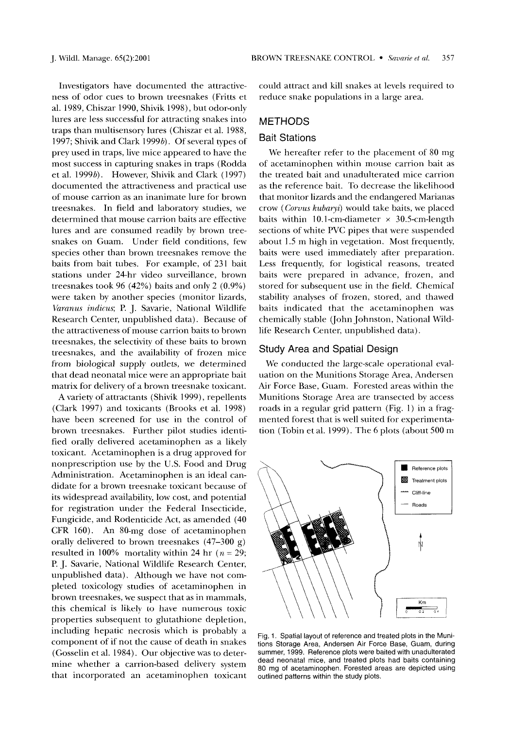Investigators have documented the attractiveness of odor cues to brown treesnakes (Fritts et al. 1989, Chiszar 1990, Shivik 1998), but odor-only lures are less successful for attracting snakes into traps than multisensory lures (Chiszar et al. 1988, 1997; Shivik and Clark 1999b). Of several types of prey used in traps, live mice appeared to have the most success in capturing snakes in traps (Rodda et al. 1999b). However, Shivik and Clark (1997) documented the attractiveness and practical use of mouse carrion as an inanimate lure for brown treesnakes. In field and laboratory studies, we determined that mouse carrion baits are effective lures and are consumed readily by brown treesnakes on Guam. Under field conditions, few species other than brown treesnakes remove the baits from bait tubes. For example, of 231 bait stations under 24-hr video surveillance, brown treesnakes took 96 (42%) baits and only 2 (0.9%) were taken by another species (monitor lizards, Varanus indicus; P. J. Savarie, National Wildlife Research Center, unpublished data). Because of the attractiveness of mouse carrion baits to brown treesnakes, the selectivity of these baits to brown treesnakes, and the availability of frozen mice from biological supply outlets, we determined that dead neonatal mice were an appropriate bait matrix for delivery of a brown treesnake toxicant.

A variety of attractants (Shivik 1999), repellents (Clark 1997) and toxicants (Brooks et al. 1998) have been screened for use in the control of brown treesnakes. Further pilot studies identified orally delivered acetaminophen as a likely toxicant. Acetaminophen is a drug approved for nonprescription use by the U.S. Food and Drug Administration. Acetaminophen is an ideal candidate for a brown treesnake toxicant because of its widespread availability, low cost, and potential for registration under the Federal Insecticide, Fungicide, and Rodenticide Act, as amended (40 CFR 160). An 80-mg dose of acetaminophen orally delivered to brown treesnakes (47-300 g) resulted in 100% mortality within 24 hr ( $n = 29$ ; P. J. Savarie, National Wildlife Research Center, unpublished data). Although we have not completed toxicology studies of acetaminophen in brown treesnakes, we suspect that as in mammals, this chemical is likely to have numerous toxic properties subsequent to glutathione depletion, including hepatic necrosis which is probably a component of if not the cause of death in snakes (Gosselin et al. 1984). Our objective was to determine whether a carrion-based delivery system that incorporated an acetaminophen toxicant could attract and kill snakes at levels required to reduce snake populations in a large area.

#### METHODS

#### Bait Stations

We hereafter refer to the placement of 80 mg of acetaminophen within mouse carrion bait as the treated bait and unadulterated mice carrion as the reference bait. To decrease the likelihood that monitor lizards and the endangered Marianas crow (Corous kubaryi) would take baits, we placed baits within 10.1-cm-diameter  $\times$  30.5-cm-length sections of white PVC pipes that were suspended about 1.5 m high in vegetation. Most frequently, baits were used immediately after preparation. Less frequently, for logistical reasons, treated baits were prepared in advance, frozen, and stored for subsequent use in the field. Chemical stability analyses of frozen, stored, and thawed baits indicated that the acetaminophen was chemically stable (John Johnston, National Wildlife Research Center, unpublished data).

#### Study Area and Spatial Design

We conducted the large-scale operational evaluation on the Munitions Storage Area, Andersen Air Force Base, Guam. Forested areas within the Munitions Storage Area are transected by access roads in a regular grid pattern (Fig. 1) in a fragmented forest that is well suited for experimentation (Tobin et al. 1999). The 6 plots (about 500 m



Fig. 1. Spatial layout of reference and treated plots in the Munitions Storage Area, Andersen Air Force Base, Guam, during summer, 1999. Reference plots were baited with unadulterated dead neonatal mice, and treated plots had baits containing 80 mg of acetaminophen. Forested areas are depicted using outlined patterns within the study plots.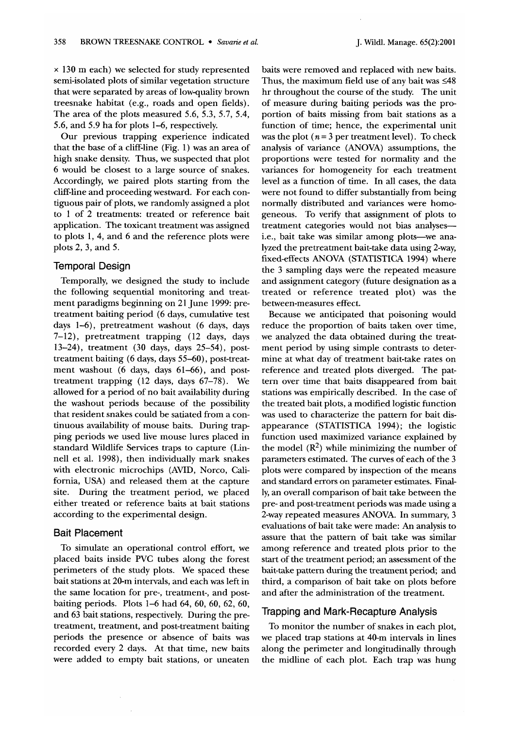x 130 m each) we selected for study represented semi-isolated plots of similar vegetation structure that were separated by areas of lowquality brown treesnake habitat (e.g., roads and open fields). The area of the plots measured 5.6, 5.3, 5.7, 5.4, 5.6, and 5.9 ha for plots 1-6, respectively.

Our previous trapping experience indicated that the base of a cliff-line (Fig. 1) was an area of high snake density. Thus, we suspected that plot 6 would be closest to a large source of snakes. Accordingly, we paired plots starting from the cliff-line and proceeding westward. For each contiguous pair of plots, we randomly assigned a plot to 1 of 2 treatments: treated or reference bait application. The toxicant treatment was assigned to plots 1, 4, and 6 and the reference plots were plots 2, 3, and 5.

#### Temporal Design

Temporally, we designed the study to include the following sequential monitoring and treatment paradigms beginning on 21 June 1999: pretreatment baiting period (6 days, cumulative test days 1-6), pretreatment washout (6 days, days 7-12), pretreatment trapping ( 12 days, days 13-24), treatment (30 days, days 25-54), posttreatment baiting (6 days, days 55-60), post-treatment washout (6 days, days 61-66), and posttreatment trapping (12 days, days 67-78). We allowed for a period of no bait availability during the washout periods because of the possibility that resident snakes could be satiated from a continuous availability of mouse baits. During trapping periods we used live mouse lures placed in standard Wildlife Services traps to capture (Linnell et al. 1998), then individually mark snakes with electronic microchips (AVID, Norco, California, USA) and released them at the capture site. During the treatment period, we placed either treated or reference baits at bait stations according to the experimental design.

#### Bait Placement

To simulate an operational control effort, we placed baits inside PVC tubes along the forest perimeters of the study plots. We spaced these bait stations at 20-m intervals, and each was left in the same location for pre-, treatment-, and postbaiting periods. Plots 1-6 had 64, 60, 60, 62, 60, and 63 bait stations, respectively. During the pretreatment, treatment, and post-treatment baiting periods the presence or absence of baits was recorded every 2 days. At that time, new baits were added to empty bait stations, or uneaten

baits were removed and replaced with new baits. Thus, the maximum field use of any bait was  $\leq 48$ hr throughout the course of the study. The unit of measure during baiting periods was the proportion of baits missing from bait stations as a function of time; hence, the experimental unit was the plot  $(n = 3$  per treatment level). To check analysis of variance (ANOVA) assumptions, the proportions were tested for normality and the variances for homogeneity for each treatment level as a function of time. In all cases, the data were not found to differ substantially from being normally distributed and variances were homogeneous. To verify that assignment of plots to treatment categories would not bias analysesi.e., bait take was similar among plots-we analyzed the pretreatment bait-take data using 2-way, fixed-effects ANOVA (STATISTICA 1994) where the 3 sampling days were the repeated measure and assignment category (future designation as a treated or reference treated plot) was the between-measures effect.

Because we anticipated that poisoning would reduce the proportion of baits taken over time, we analyzed the data obtained during the treatment period by using simple contrasts to determine at what day of treatment bait-take rates on reference and treated plots diverged. The pattern over time that baits disappeared from bait stations was empirically described. In the case of the treated bait plots, a modified logistic function was used to characterize the pattern for bait disappearance (STATISTICA 1994); the logistic function used maximized variance explained by the model  $(R^2)$  while minimizing the number of parameters estimated. The curves of each of the 3 plots were compared by inspection of the means and standard errors on parameter estimates. Finally, an overall comparison of bait take between the pre- and post-treatment periods was made using a 2-way repeated measures ANOVA. In summary, 3 evaluations of bait take were made: An analysis to assure that the pattern of bait take was similar among reference and treated plots prior to the start of the treatment period; an assessment of the bait-take pattern during the treatment period; and third, a comparison of bait take on plots before and after the administration of the treatment.

#### Trapping and Mark-Recapture Analysis

To monitor the number of snakes in each plot, we placed trap stations at 40-m intervals in lines along the perimeter and longitudinally through the midline of each plot. Each trap was hung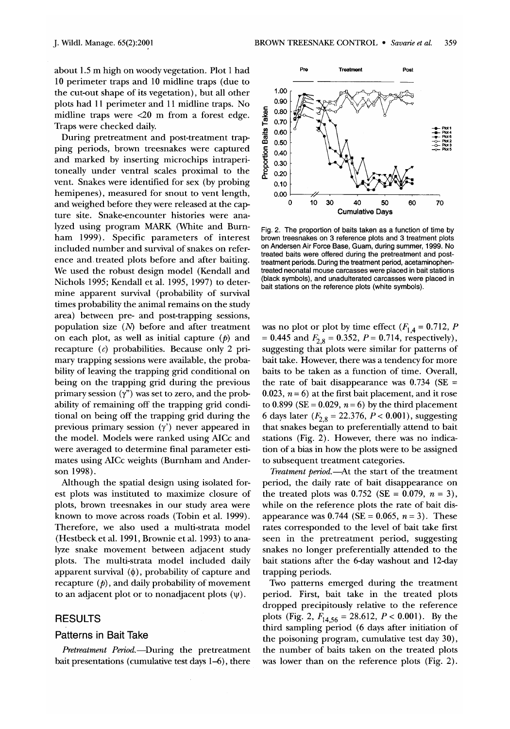about 1.5 m high on woody vegetation. Plot 1 had 10 perimeter traps and 10 midline traps (due to the cut-out shape of its vegetation), but all other plots had 11 perimeter and 11 midline traps. No midline traps were <20 m from a forest edge. Traps were checked daily.

During pretreatment and post-treatment trap ping periods, brown treesnakes were captured and marked by inserting microchips intraperitoneally under ventral scales proximal to the vent. Snakes were identified for sex (by probing hemipenes), measured for snout to vent length, and weighed before they were released at the capture site. Snake-encounter histories were analyzed using program MARK (White and Burnham 1999). Specific parameters of interest included number and survival of snakes on reference and treated plots before and after baiting. We used the robust design model (Kendall and Nichols 1995; Kendall et al. 1995, 1997) to determine apparent survival (probability of survival times probability the animal remains on the study area) between pre- and post-trapping sessions, population size (N) before and after treatment on each plot, as well as initial capture  $(p)$  and recapture *(6)* probabilities. Because only 2 primary trapping sessions were available, the probability of leaving the trapping grid conditional on being on the trapping grid during the previous primary session  $(y'')$  was set to zero, and the probability of remaining off the trapping grid conditional on being off the trapping grid during the previous primary session (y') never appeared in the model. Models were ranked using AICc and were averaged to determine final parameter estimates using AICc weights (Burnham and Anderson 1998).

Although the spatial design using isolated forest plots was instituted to maximize closure of plots, brown treesnakes in our study area were known to move across roads (Tobin et al. 1999). Therefore, we also used a multi-strata model (Hestbeck et al. 1991, Brownie et al. 1993) to analyze snake movement between adjacent study plots. The multi-strata model included daily apparent survival  $(\phi)$ , probability of capture and recapture  $(p)$ , and daily probability of movement to an adjacent plot or to nonadjacent plots  $(\psi)$ .

#### **RESULTS**

#### patterns in Bait Take

bait presentations (cumulative test days 1–6), there was lower than on the reference plots (Fig. 2).



Fig. 2. The proportion of baits taken as a function of time by brown treesnakes on 3 reference plots and 3 treatment plots on Andersen Air Force Base, Guam, during summer, 1999. No treated baits were offered during the pretreatment and posttreatment periods. During the treatment period, acetaminophentreated neonatal mouse carcasses were placed in bait stations (black symbols), and unadulterated carcasses were placed in bait stations on the reference plots (white symbols).

was no plot or plot by time effect  $(F_{1,4} = 0.712, P$ = 0.445 and  $F_{2,8}$  = 0.352, P = 0.714, respectively), suggesting that plots were similar for patterns of bait take. However, there was a tendency for more baits to be taken as a function of time. Overall, the rate of bait disappearance was  $0.734$  (SE = 0.023,  $n = 6$ ) at the first bait placement, and it rose to  $0.899$  (SE =  $0.029$ ,  $n = 6$ ) by the third placement 6 days later ( $F_{2,8} = 22.376$ ,  $P < 0.001$ ), suggesting that snakes began to preferentially attend to bait stations (Fig. 2). However, there was no indication of a bias in how the plots were to be assigned to subsequent treatment categories.

*Treatment* period.-At the start of the treatment period, the daily rate of bait disappearance on the treated plots was  $0.752$  (SE = 0.079,  $n = 3$ ), while on the reference plots the rate of bait disappearance was  $0.744$  (SE = 0.065,  $n = 3$ ). These rates corresponded to the level of bait take first seen in the pretreatment period, suggesting snakes no longer preferentially attended to the bait stations after the 6-day washout and 12-day trapping periods.

Two patterns emerged during the treatment period. First, bait take in the treated plots dropped precipitously relative to the reference plots (Fig. 2,  $F_{14,56} = 28.612$ ,  $P < 0.001$ ). By the third sampling period (6 days after initiation of the poisoning program, cumulative test day 30), Pretreatment Period.-During the pretreatment the number of baits taken on the treated plots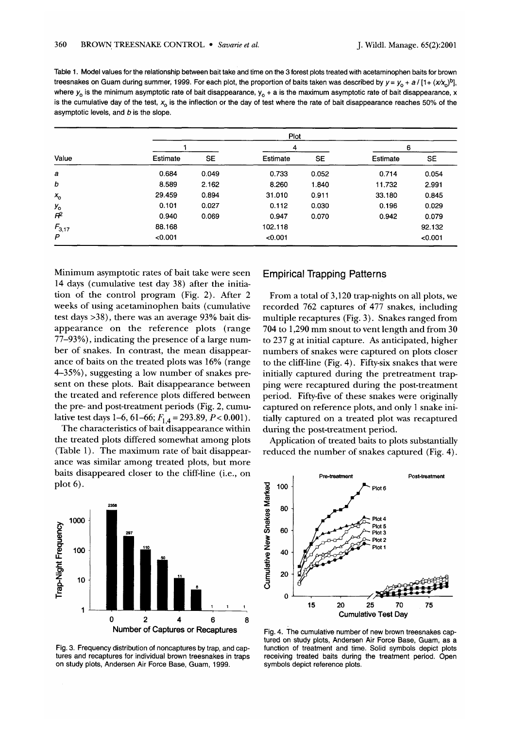Table **1.** Model values for the relationship between bait take and time on the 3 forest plots treated with acetaminophen baits for brown treesnakes on Guam during summer, 1999. For each plot, the proportion of baits taken was described by  $y = y_0 + a/ [1 + (x/x_0)^b]$ , where  $y_0$  is the minimum asymptotic rate of bait disappearance,  $y_0 + a$  is the maximum asymptotic rate of bait disappearance, x is the cumulative day of the test,  $x_0$  is the inflection or the day of test where the rate of bait disappearance reaches 50% of the asymptotic levels, and  $b$  is the slope.

|            | Plot     |           |          |       |          |         |  |  |
|------------|----------|-----------|----------|-------|----------|---------|--|--|
|            |          |           | 4        |       | 6        |         |  |  |
| Value      | Estimate | <b>SE</b> | Estimate | SE    | Estimate | SE      |  |  |
| a          | 0.684    | 0.049     | 0.733    | 0.052 | 0.714    | 0.054   |  |  |
| b          | 8.589    | 2.162     | 8.260    | 1.840 | 11.732   | 2.991   |  |  |
| $x_{0}$    | 29.459   | 0.894     | 31.010   | 0.911 | 33.180   | 0.845   |  |  |
| $y_{o}$    | 0.101    | 0.027     | 0.112    | 0.030 | 0.196    | 0.029   |  |  |
| $F^2$      | 0.940    | 0.069     | 0.947    | 0.070 | 0.942    | 0.079   |  |  |
| $F_{3,17}$ | 88.168   |           | 102.118  |       |          | 92.132  |  |  |
| P          | < 0.001  |           | < 0.001  |       |          | < 0.001 |  |  |

Minimum asymptotic rates of bait take were seen 14 days (cumulative test day 38) after the initiation of the control program (Fig. 2). After 2 weeks of using acetaminophen baits (cumulative test days **>38),** there was an average 93% bait disappearance on the reference plots (range 77-93%), indicating the presence of a large number of snakes. In contrast, the mean disappearance of baits on the treated plots was 16% (range 4-35%), suggesting a low number of snakes present on these plots. Bait disappearance between the treated and reference plots differed between the pre- and post-treatment periods (Fig. 2, cumulative test days 1–6, 61–66;  $F_{1,4}$  = 293.89,  $P < 0.001$ ).

The characteristics of bait disappearance within the treated plots differed somewhat among plots (Table I). The maximum rate of bait disappearance was similar among treated plots, but more baits disappeared closer to the cliff-line (i.e., on plot 6).



tures and recaptures for individual brown treesnakes in traps receiving treated baits during the treatment period. Open on study plots, Andersen Air Force Base, Guam, **1999.** symbols depict reference plots.

#### Empirical Trapping Patterns

From a total of 3,120 trap-nights on all plots, we recorded 762 captures of 477 snakes, including multiple recaptures (Fig. 3). Snakes ranged from 704 to 1,290 mm snout to vent length and from 30 to 237 g at initial capture. **As** anticipated, higher numbers of snakes were captured on plots closer to the cliff-line (Fig. 4). Fifty-six snakes that were initially captured during the pretreatment trapping were recaptured during the post-treatment period. Fiftyfive of these snakes were originally captured on reference plots, and only 1 snake initially captured on a treated plot was recaptured during the post-treatment period.

Application of treated baits to plots substantially reduced the number of snakes captured (Fig. 4).



tured on study plots, Andersen Air Force Base, Guam, as a Fig. 3. Frequencydistribution of noncaptures by trap, and cap- function of treatment and time. Solid symbols depict plots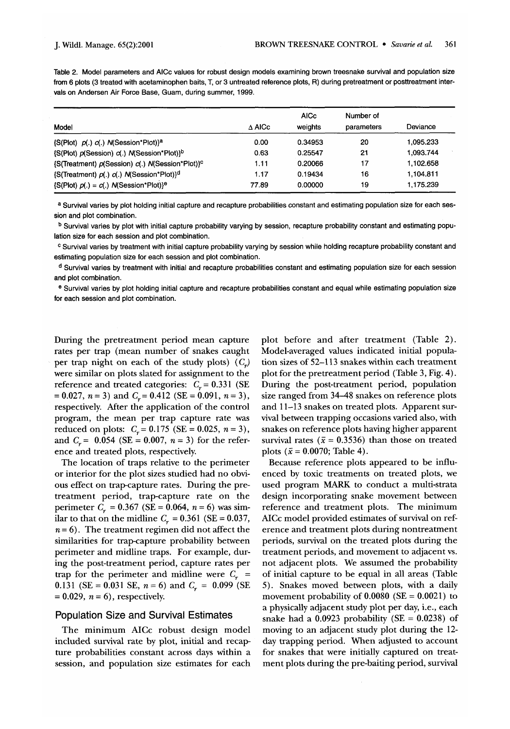Table 2. Model parameters and AlCc values for robust design models examining brown treesnake survival and population size from 6 plots (3 treated with acetaminophen baits, T, or 3 untreated reference plots, R) during pretreatment or posttreatment intervals on Andersen Air Force Base, Guam, during summer, 1999.

|                                                             |                  | <b>AICc</b> | Number of  |           |  |
|-------------------------------------------------------------|------------------|-------------|------------|-----------|--|
| Model                                                       | $\triangle$ AICc | weights     | parameters | Deviance  |  |
| $\{S(Plot) \ p(.) \ c(.) \ N(Session*Plot)\}^a$             | 0.00             | 0.34953     | 20         | 1.095.233 |  |
| (S(Plot) p(Session) c(.) N(Session*Plot) <sup>1b</sup>      | 0.63             | 0.25547     | 21         | 1.093.744 |  |
| {S(Treatment) p(Session) c(.) N(Session*Plot)} <sup>c</sup> | 1.11             | 0.20066     | 17         | 1.102.658 |  |
| $\{S(Treatment) p(.) c(.)$ M(Session*Plot) $\}^d$           | 1.17             | 0.19434     | 16         | 1.104.811 |  |
| $\{S(Plot) \rho() = c(.) \text{ N(Session*Plot)}\}^e$       | 77.89            | 0.00000     | 19         | 1.175.239 |  |

**a** Survival varies by plot holding initial capture and recapture probabilities constant and estimating population size for each session and plot combination.

<sup>b</sup> Survival varies by plot with initial capture probability varying by session, recapture probability constant and estimating population size for each session and plot combination.

Survival varies by treatment with initial capture probability varying by session while holding recapture probability constant and estimating population size for each session and plot combination.

<sup>d</sup> Survival varies by treatment with initial and recapture probabilities constant and estimating population size for each session and plot combination.

Survival varies by plot holding initial capture and recapture probabilities constant and equal while estimating population size for each session and plot combination.

During the pretreatment period mean capture rates per trap (mean number of snakes caught per trap night on each of the study plots)  $(C_{\nu})$ were similar on plots slated for assignment to the reference and treated categories:  $C_r = 0.331$  (SE  $= 0.027$ ,  $n = 3$ ) and  $C_r = 0.412$  (SE  $= 0.091$ ,  $n = 3$ ), respectively. After the application of the control program, the mean per trap capture rate was reduced on plots:  $C_r = 0.175$  (SE = 0.025,  $n = 3$ ), and  $C_r = 0.054$  (SE = 0.007,  $n = 3$ ) for the reference and treated plots, respectively.

The location of traps relative to the perimeter or interior for the plot sizes studied had no obvious effect on trapcapture rates. During the pretreatment period, trap-capture rate on the perimeter  $C_r = 0.367$  (SE = 0.064,  $n = 6$ ) was similar to that on the midline  $C_r = 0.361$  (SE = 0.037,  $n = 6$ ). The treatment regimen did not affect the similarities for trap-capture probability between perimeter and midline traps. For example, during the post-treatment period, capture rates per trap for the perimeter and midline were  $C_r$  = 0.131 (SE = 0.031 SE,  $n = 6$ ) and  $C_r = 0.099$  (SE  $= 0.029$ ,  $n = 6$ ), respectively.

#### Population Size and Survival Estimates

The minimum AICc robust design model included survival rate by plot, initial and recapture probabilities constant across days within a session, and population size estimates for each

plot before and after treatment (Table 2). Model-averaged values indicated initial population sizes of 52-1 13 snakes within each treatment plot for the pretreatment period (Table 3, Fig. 4). During the post-treatment period, population size ranged from 34-48 snakes on reference plots and 11-13 snakes on treated plots. Apparent survival between trapping occasions varied also, with snakes on reference plots having higher apparent survival rates ( $\bar{x}$  = 0.3536) than those on treated plots ( $\bar{x} = 0.0070$ ; Table 4).

Because reference plots appeared to be influenced by toxic treatments on treated plots, we used program MARK to conduct a multi-strata design incorporating snake movement between reference and treatment plots. The minimum AICc model provided estimates of survival on reference and treatment plots during nontreatment periods, survival on the treated plots during the treatment periods, and movement to adjacent vs. not adjacent plots. We assumed the probability of initial capture to be equal in all areas (Table 5). Snakes moved between plots, with a daily movement probability of  $0.0080$  (SE =  $0.0021$ ) to a physically adjacent study plot per day, i.e., each snake had a  $0.0923$  probability (SE =  $0.0238$ ) of moving to an adjacent study plot during the 12 day trapping period. When adjusted to account for snakes that were initially captured on treatment plots during the pre-baiting period, survival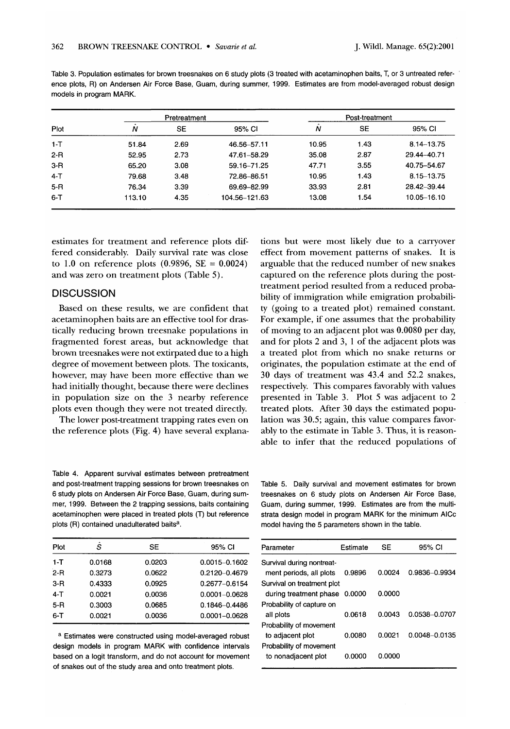Table 3. Population estimates for brown treesnakes on 6 study plots (3 treated with acetaminophen baits, T, or 3 untreated reference plots, R) on Andersen Air Force Base, Guam, during summer, 1999. Estimates are from model-averaged robust design models in program MARK.

|         |        | Pretreatment |               |       | Post-treatment |             |
|---------|--------|--------------|---------------|-------|----------------|-------------|
| Plot    | Ν      | SE           | 95% CI        | N     | <b>SE</b>      | 95% CI      |
| $1 - T$ | 51.84  | 2.69         | 46.56-57.11   | 10.95 | 1.43           | 8.14-13.75  |
| $2 - R$ | 52.95  | 2.73         | 47.61-58.29   | 35.08 | 2.87           | 29.44-40.71 |
| $3-R$   | 65.20  | 3.08         | 59.16-71.25   | 47.71 | 3.55           | 40.75-54.67 |
| $4-T$   | 79.68  | 3.48         | 72.86-86.51   | 10.95 | 1.43           | 8.15-13.75  |
| $5 - R$ | 76.34  | 3.39         | 69.69-82.99   | 33.93 | 2.81           | 28.42-39.44 |
| $6 - T$ | 113.10 | 4.35         | 104.56-121.63 | 13.08 | 1.54           | 10.05-16.10 |

estimates for treatment and reference plots differed considerably. Daily survival rate was close to 1.0 on reference plots  $(0.9896, SE = 0.0024)$ and was zero on treatment plots (Table 5).

#### **DISCUSSION**

Based on these results, we are confident that acetaminophen baits are an effective tool for drastically reducing brown treesnake populations in fragmented forest areas, but acknowledge that brown treesnakes were not extirpated due to a high degree of movement between plots. The toxicants, however, may have been more effective than we had initially thought, because there were declines in population size on the 3 nearby reference plots even though they were not treated directly.

The lower post-treatment trapping rates even on the reference plots (Fig. 4) have several explanations but were most likely due to a carryover effect from movement patterns of snakes. It is arguable that the reduced number of new snakes captured on the reference plots during the posttreatment period resulted from a reduced probability of immigration while emigration probability (going to a treated plot) remained constant. For example, if one assumes that the probability of moving to an adjacent plot was 0.0080 per day, and for plots 2 and 3, 1 of the adjacent plots was a treated plot from which no snake returns or originates, the population estimate at the end of 30 days of treatment was 43.4 and 52.2 snakes, respectively. This compares favorably with values presented in Table 3. Plot 5 was adjacent to 2 treated plots. After 30 days the estimated population was 30.5; again, this value compares favorably to the estimate in Table 3. Thus, it is reasonable to infer that the reduced populations of

Table 4. Apparent survival estimates between pretreatment and post-treatment trapping sessions for brown treesnakes on 6 study plots on Andersen Air Force Base, Guam, during summer, 1999. Between the 2 trapping sessions, baits containing acetaminophen were placed in treated plots (T) but reference plots (R) contained unadulterated baits<sup>a</sup>.

Table 5. Daily survival and movement estimates for brown treesnakes on 6 study plots on Andersen Air Force Base, Guam, during summer, 1999. Estimates are from the multistrata design model in program MARK for the minimum AlCc model having the 5 parameters shown in the table.

| Plot    | S      | SE     | 95% CI            | Parameter                     | Estimate | <b>SE</b> | 95% CI         |
|---------|--------|--------|-------------------|-------------------------------|----------|-----------|----------------|
| $1-T$   | 0.0168 | 0.0203 | $0.0015 - 0.1602$ | Survival during nontreat-     |          |           |                |
| $2 - R$ | 0.3273 | 0.0622 | 0.2120-0.4679     | ment periods, all plots       | 0.9896   | 0.0024    | $0.9836 - 0.9$ |
| $3 - R$ | 0.4333 | 0.0925 | 0.2677-0.6154     | Survival on treatment plot    |          |           |                |
| $4-T$   | 0.0021 | 0.0036 | $0.0001 - 0.0628$ | during treatment phase 0.0000 |          | 0.0000    |                |
| $5-R$   | 0.3003 | 0.0685 | 0.1846-0.4486     | Probability of capture on     |          |           |                |
| $6 - T$ | 0.0021 | 0.0036 | 0.0001-0.0628     | all plots                     | 0.0618   | 0.0043    | $0.0538 - 0.0$ |
|         |        |        |                   |                               |          |           |                |

a Estimates were constructed using model-averaged robust design models in program MARK with confidence intervals based on a logit transform, and do not account for movement of snakes out of the study area and onto treatment plots.

| Parameter                  | Estimate | SE     | 95% CI        |
|----------------------------|----------|--------|---------------|
| Survival during nontreat-  |          |        |               |
| ment periods, all plots    | 0.9896   | 0.0024 | 0.9836-0.9934 |
| Survival on treatment plot |          |        |               |
| during treatment phase     | 0.0000   | 0.0000 |               |
| Probability of capture on  |          |        |               |
| all plots                  | 0.0618   | 0.0043 | 0.0538-0.0707 |
| Probability of movement    |          |        |               |
| to adiacent plot           | 0.0080   | 0.0021 | 0.0048-0.0135 |
| Probability of movement    |          |        |               |
| to nonadiacent plot        | റ ററററ   | 0.0000 |               |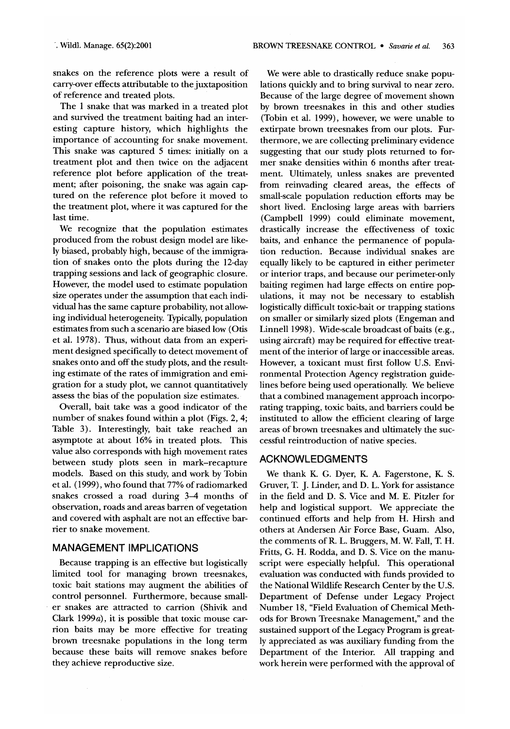snakes on the reference plots were a result of carry-over effects attributable to the juxtaposition of reference and treated plots.

The 1 snake that was marked in a treated plot and survived the treatment baiting had an interesting capture history, which highlights the importance of accounting for snake movement. This snake was captured 5 times: initially on a treatment plot and then twice on the adjacent reference plot before application of the treatment; after poisoning, the snake was again captured on the reference plot before it moved to the treatment plot, where it was captured for the last time.

We recognize that the population estimates produced from the robust design model are likely biased, probably high, because of the immigration of snakes onto the plots during the 12-day trapping sessions and lack of geographic closure. However, the model used to estimate population size operates under the assumption that each individual has the same capture probability, not allowing individual heterogeneity. Typically, population estimates from such a scenario are biased low (Otis et al. 1978). Thus, without data from an experiment designed specifically to detect movement of snakes onto and off the study plots, and the resulting estimate of the rates of immigration and emigration for a study plot, we cannot quantitatively assess the bias of the population size estimates.

Overall, bait take was a good indicator of the number of snakes found within a plot (Figs. **2,4;**  Table **3).** Interestingly, bait take reached an asymptote at about 16% in treated plots. This value also corresponds with high movement rates between study plots seen in mark-recapture models. Based on this study, and work by Tobin et al. (1999), who found that 77% of radiomarked snakes crossed a road during **3-4** months of observation, roads and areas barren of vegetation and covered with asphalt are not an effective barrier to snake movement.

#### MANAGEMENT IMPLICATIONS

Because trapping is an effective but logistically limited tool for managing brown treesnakes, toxic bait stations may augment the abilities of control personnel. Furthermore, because smaller snakes are attracted to carrion (Shivik and Clark 1999a), it is possible that toxic mouse carrion baits may be more effective for treating brown treesnake populations in the long term because these baits will remove snakes before they achieve reproductive size.

We were able to drastically reduce snake populations quickly and to bring survival to near zero. Because of the large degree of movement shown by brown treesnakes in this and other studies (Tobin et al. 1999), however, we were unable to extirpate brown treesnakes from our plots. Furthermore, we are collecting preliminary evidence suggesting that our study plots returned to former snake densities within 6 months after treatment. Ultimately, unless snakes are prevented from reinvading cleared areas, the effects of small-scale population reduction efforts may be short lived. Enclosing large areas with barriers (Campbell 1999) could eliminate movement, drastically increase the effectiveness of toxic baits, and enhance the permanence of population reduction. Because individual snakes are equally likely to be captured in either perimeter or interior traps, and because our perimeter-only baiting regimen had large effects on entire pop ulations, it may not be necessary to establish logistically difficult toxic-bait or trapping stations on smaller or similarly sized plots (Engeman and Linnell 1998). Wide-scale broadcast of baits (e.g., using aircraft) may be required for effective treatment of the interior of large or inaccessible areas. However, a toxicant must first follow U.S. Environmental Protection Agency registration guidelines before being used operationally. We believe that a combined management approach incorporating trapping, toxic baits, and barriers could be instituted to allow the efficient clearing of large areas of brown treesnakes and ultimately the successful reintroduction of native species.

#### ACKNOWLEDGMENTS

We thank K. G. Dyer, **K.** A. Fagerstone, **K.** S. Gruver, T. J. Linder, and D. L. York for assistance in the field and D. S. Vice and M. E. Pitzler for help and logistical support. We appreciate the continued efforts and help from H. Hirsh and others at Andersen Air Force Base, Guam. Also, the comments of R. L. Bruggers, M. W. Fall, T. H. Fritts, G. H. Rodda, and D. S. Vice on the manuscript were especially helpful. This operational evaluation was conducted with funds provided to the National Wildlife Research Center by the U.S. Department of Defense under Legacy Project Number 18, "Field Evaluation of Chemical Methods for Brown Treesnake Management," and the sustained support of the Legacy Program is greatly appreciated as was auxiliary funding from the Department of the Interior. All trapping and work herein were performed with the approval of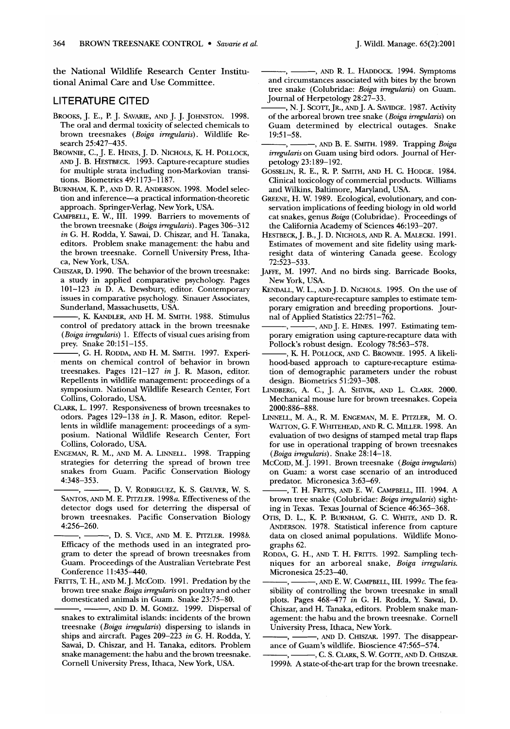the National Wildlife Research Center Institutional Animal Care and Use Committee.

#### LITERATURE CITED

- BROOKS, J. E., P. J. SAVARE, AND J. J. JOHNSTON. 1998. The oral and dermal toxicity of selected chemicals to brown treesnakes (Boiga irregularis). Wildlife Research 25:427-435.
- BROWNIE, C., J. E. HINES, J. D. NICHOLS, K. H. POLLOCK, AND J. B. HESTBECK. 1993. Capture-recapture studies for multiple strata including non-Markovian transitions. Biometrics 49: 1 173-1 187.
- BURNHAM, **K.** P., AND D. R. ANDERSON. 1998. Model selection and inference-a practical information-theoretic approach. Springer-Verlag, New York, USA.
- CAMPBELL, E. W., 111. 1999. Barriers to movements of the brown treesnake (Boiga irregularis). Pages 306-312 in G. H. Rodda, *Y* Sawai, D. Chiszar, and H. Tanaka, editors. Problem snake management: the habu and the brown treesnake. Cornell University Press, Ithaca, New York, USA.
- CHISZAR, D. 1990. The behavior of the brown treesnake: a study in applied comparative psychology. Pages 101-123 in D. A. Dewsbury, editor. Contemporary issues in comparative psychology. Sinauer Associates, Sunderland, Massachusetts, USA.
- , K. KANDLER, AND H. M. SMITH. 1988. Stimulus control of predatory attack in the brown treesnake (Boiga irregularis) 1. Effects of visual cues arising from prey. Snake 20:151-155.
- , G. H. RODDA, AND H. M. SMITH. 1997. Experiments on chemical control of behavior in brown treesnakes. Pages 121-127 in J. R. Mason, editor. Repellents in wildlife management: proceedings of a symposium. National Wildlife Research Center, Fort Collins, Colorado, USA.
- CLARK, L. 1997. Responsiveness of brown treesnakes to odors. Pages 129-138 in J. R. Mason, editor. Repellents in wildlife management: proceedings of a symposium. National Wildlife Research Center, Fort Collins, Colorado, USA.
- ENGEMAN, R. M., AND M. A. LINNELL. 1998. Trapping strategies for deterring the spread of brown tree snakes from Guam. Pacific Conservation Biology ouors. rages 129–150<br>lents in wildlife mana<br>posium. National W<br>Collins, Colorado, US<br>ENGEMAN, R. M., AND M<br>strategies for deterring makes from Guam.<br>4:348–353.<br>7. D. V. R<br>SANTOS, AND M. E. PITZ<br>ARTOS, AND M. E. PITZ 4:348-353.
- **,** , D. V. RODRIGUEZ, K. S. GRUVER, W. S. SANTOS, AND M. E. PITZLER. 1998a. Effectiveness of the detector dogs used for deterring the dispersal of brown treesnakes. Pacific Conservation Biology state from Guam.<br>
snakes from Guam.<br>
4:348-353.<br>  $\leftarrow$ , D. V. R.<br>
SANTOS, AND M. E. PITZ<br>
detector dogs used f<br>
brown treesnakes. 1<br>
4:256-260.<br>  $\leftarrow$ , D. S. V<br>
Efficacy of the method 4:256-260.
- **<sup>9</sup>**, **D.** S. VICE, AND M. E. PITZLER. 1998b. Efficacy of the methods used in an integrated program to deter the spread of brown treesnakes from Guam. Proceedings of the Australian Vertebrate Pest Conference 11:435-440. Fificacy of the method<br>gram to deter the spin-<br>gram to deter the spin-<br>Guam. Proceedings of<br>Conference 11:435-44<br>FRITTS, T. H., AND M. J. N<br>brown tree snake *Boig*<br>domesticated animals<br>makes to extralimital
- FRITTS, T. H., AND M. J. MCCOID. 1991. Predation by the brown tree snake Boiga irregularis on poultry and other domesticated animals in Guam. Snake 23:75-80.
- -, AND D. M. GOMEZ. 1999. Dispersal of snakes to extralimital islands: incidents of the brown treesnake (Boiga irregularis) dispersing to islands in ships and aircraft. Pages 209-223 in G. H. Rodda, *Y*  Sawai, D. Chiszar, and H. Tanaka, editors. Problem snake management: the habu and the brown treesnake. Cornell University Press, Ithaca, New York, USA.
- $J.$  Wildl. Manage. 65(2):2001<br>  $\frac{J.}{J}$ , AND R. L. HADDOCK. 1994. Symptoms<br>
and circumstances associated with bitles by the brown and circumstances associated with bites by the brown tree snake (Colubridae: Boiga irregularis) on Guam. Journal of Herpetology 28:27-33.
- , N. J. SCOTT, JR., AND J. A. SAVIDGE. 1987. Activity of the arboreal brown tree snake (Boiga irregularis) on Guam determined by electrical outages. Snake and circumstances as<br>tree snake (Colubrid<br>Journal of Herpetolog<br>(Note arboreal brown<br>Guam determined<br>19:51–58.<br>(*ingularis* on Guam and Brown B.<br>*irregularis* on Guam use<br>(21:180–197) 19:51-58.
- **,** , AND B. E. SMITH. 1989. Trapping Boiga irregularis on Guam using bird odors. Journal of Herpetology 23: 189-192.
- GOSSELIN, R. E., R. P. SMITH, AND H. C. HODGE. 1984. Clinical toxicology of commercial products. Williams and Wilkins, Baltimore, Maryland, USA.
- GREENE, H. W. 1989. Ecological, evolutionary, and conservation implications of feeding biology in old world cat snakes, genus Boiga (Colubridae). Proceedings of the California Academy of Sciences 46:193-207.
- HESTBECK, J. B., J. D. NICHOLS, AND R. A. MALECKI. 1991. Estimates of movement and site fidelity using markresight data of wintering Canada geese. Ecology 72:523-533.
- JAFFE, M. 1997. And no birds sing. Barricade Books, New York, USA.
- KENDALL, W. L., AND J. D. NICHOLS. 1995. On the use of secondary capture-recapture samples to estimate temporary emigration and breeding proportions. Jour- Tagnet and a main of minimized and a main of minimized and the New York, USA.<br>
Here, M. 1997. And n<br>
New York, USA.<br>
KENDALL, W. L., AND J. I.<br>
secondary capture-reception and of Applied Statisti<br>
..., AND J. I.<br>
polynomy nal of Applied Statistics 22:75 1-762.
- **,** , AND J. E. HINES. 1997. Estimating temporary emigration using capture-recapture data with Pollock's robust design. Ecology 78:563-578.
- , K. H. POLLOCK, AND C. BROWNIE. 1995. A likelihood-based approach to capture-recapture estimation of demographic parameters under the robust design. Biometrics 51:293-308.
- LINDBERG, A. C., J. A. SHIVIK, AND L. CLARK. 2000. Mechanical mouse lure for brown treesnakes. Copeia 2000:886-888.
- LINNELL, M. A., R. M. ENGEMAN, M.E. PITZLER, M. 0. WATTON, G. F. WHITEHEAD, AND R. C. MILLER. 1998. An evaluation of two designs of stamped metal trap flaps for use in operational trapping of brown treesnakes (Boiga irregularis). Snake 28:14-18.
- McCoID, M.J. 1991. Brown treesnake (Boiga irregularis) on Guam: a worst case scenario of an introduced predator. Micronesica 3:63-69.
- , T. H. Fritts, and E. W. Campbell, III. 1994. A brown tree snake (Colubridae: Boiga irregularis) sighting in Texas. Texas Journal of Science 46:365-368.
- OTIS, D. L., **K.** P. BURNHAM, G. C. WHITE, AND D. R. ANDERSON. 1978. Statistical inference from capture data on closed animal populations. Wildlife Monographs 62. --
- RODDA, G. H., AND T. H. FRITTS. 1992. Sampling techniques for an arboreal snake, Boiga irregularis. Micronesica 25:23-40.
- **,** , AND E. W. CAMPBELL, 111. 1999c. The feasibility of controlling the brown treesnake in small plots. Pages 468-477 in G. H. Rodda, Y. Sawai, D. Chiszar, and H. Tanaka, editors. Problem snake management: the habu and the brown treesnake. Cornell -- University Press, Ithaca, New York. sibility of controlling<br>plots. Pages 468-47<br>Chiszar, and H. Tana<br>agement: the habu and<br>University Press, Itha<br>University Press, Itha<br>Increase of Guam's wildlen<br>and Suid-<br>Consumers, C. S. Ct.<br>1999b. A state-of-the-
- **,** , AND D. CHISZAR. 1997. The disappear ance of Guam's wildlife. Bioscience 47:565-574.
- $-$ , C. S. Clark, S. W. GOTTE, and D. Chiszar. 1999b. **A** state-of-the-art trap for the brown treesnake.